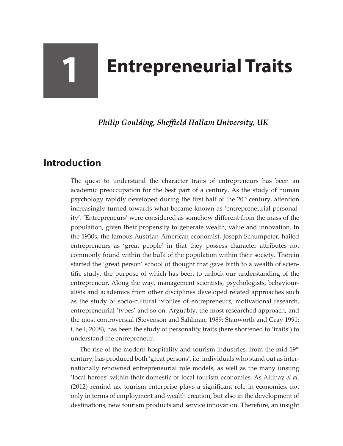## **1 Entrepreneurial Traits**

*Philip Goulding, Sheffield Hallam University, UK*

## **Introduction**

The quest to understand the character traits of entrepreneurs has been an academic preoccupation for the best part of a century. As the study of human psychology rapidly developed during the first half of the 20<sup>th</sup> century, attention increasingly turned towards what became known as 'entrepreneurial personality'. 'Entrepreneurs' were considered as somehow different from the mass of the population, given their propensity to generate wealth, value and innovation. In the 1930s, the famous Austrian-American economist, Joseph Schumpeter, hailed entrepreneurs as 'great people' in that they possess character attributes not commonly found within the bulk of the population within their society. Therein started the 'great person' school of thought that gave birth to a wealth of scientific study, the purpose of which has been to unlock our understanding of the entrepreneur. Along the way, management scientists, psychologists, behaviouralists and academics from other disciplines developed related approaches such as the study of socio-cultural profiles of entrepreneurs, motivational research, entrepreneurial 'types' and so on. Arguably, the most researched approach, and the most controversial (Stevenson and Sahlman, 1989; Stanworth and Gray 1991; Chell, 2008), has been the study of personality traits (here shortened to 'traits') to understand the entrepreneur.

The rise of the modern hospitality and tourism industries, from the mid-19<sup>th</sup> century, has produced both 'great persons', i.e. individuals who stand out as internationally renowned entrepreneurial role models, as well as the many unsung 'local heroes' within their domestic or local tourism economies. As Altinay *et al*. (2012) remind us, tourism enterprise plays a significant role in economies, not only in terms of employment and wealth creation, but also in the development of destinations, new tourism products and service innovation. Therefore, an insight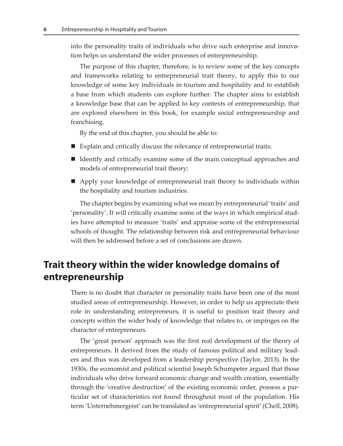into the personality traits of individuals who drive such enterprise and innovation helps us understand the wider processes of entrepreneurship.

The purpose of this chapter, therefore, is to review some of the key concepts and frameworks relating to entrepreneurial trait theory, to apply this to our knowledge of some key individuals in tourism and hospitality and to establish a base from which students can explore further. The chapter aims to establish a knowledge base that can be applied to key contexts of entrepreneurship, that are explored elsewhere in this book, for example social entrepreneurship and franchising.

By the end of this chapter, you should be able to:

- Explain and critically discuss the relevance of entrepreneurial traits;
- $\blacksquare$  Identify and critically examine some of the main conceptual approaches and models of entrepreneurial trait theory;
- Apply your knowledge of entrepreneurial trait theory to individuals within the hospitality and tourism industries.

The chapter begins by examining what we mean by entrepreneurial 'traits' and 'personality'. It will critically examine some of the ways in which empirical studies have attempted to measure 'traits' and appraise some of the entrepreneurial schools of thought. The relationship between risk and entrepreneurial behaviour will then be addressed before a set of conclusions are drawn.

## **Trait theory within the wider knowledge domains of entrepreneurship**

There is no doubt that character or personality traits have been one of the most studied areas of entrepreneurship. However, in order to help us appreciate their role in understanding entrepreneurs, it is useful to position trait theory and concepts within the wider body of knowledge that relates to, or impinges on the character of entrepreneurs.

The 'great person' approach was the first real development of the theory of entrepreneurs. It derived from the study of famous political and military leaders and thus was developed from a leadership perspective (Taylor, 2013). In the 1930s, the economist and political scientist Joseph Schumpeter argued that those individuals who drive forward economic change and wealth creation, essentially through the 'creative destruction' of the existing economic order, possess a particular set of characteristics not found throughout most of the population. His term 'Unternehmergeist' can be translated as 'entrepreneurial spirit' (Chell, 2008).